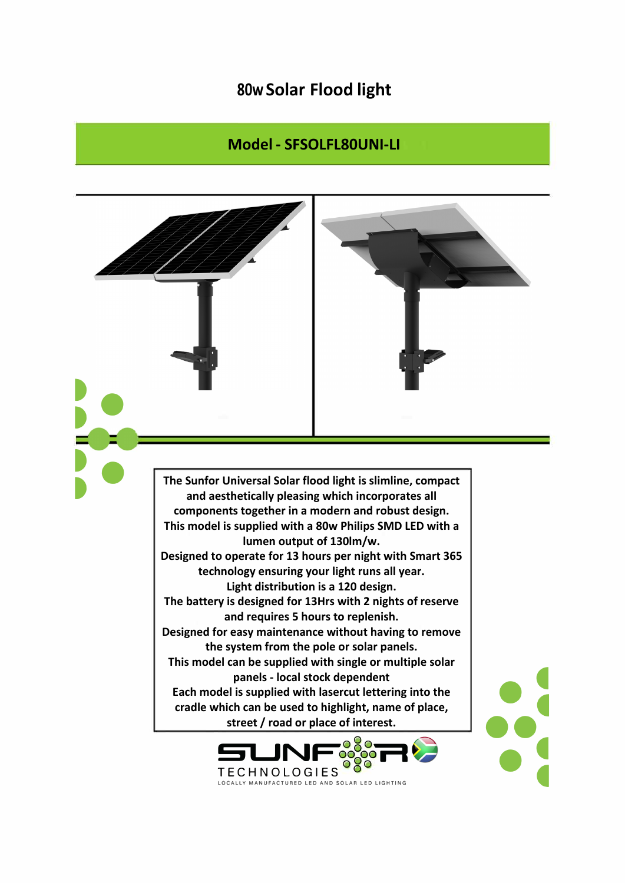## **80w Solar Flood light**

## **Model - SFSOLFL80UNI-LI**